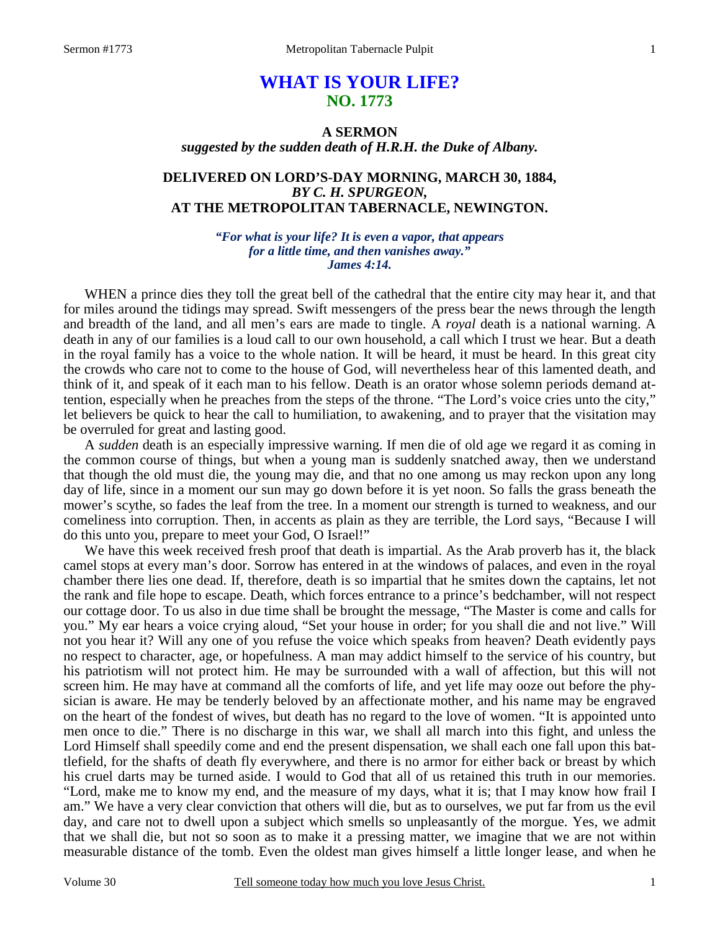# **WHAT IS YOUR LIFE? NO. 1773**

## **A SERMON**  *suggested by the sudden death of H.R.H. the Duke of Albany.*

# **DELIVERED ON LORD'S-DAY MORNING, MARCH 30, 1884,**  *BY C. H. SPURGEON,*  **AT THE METROPOLITAN TABERNACLE, NEWINGTON.**

*"For what is your life? It is even a vapor, that appears for a little time, and then vanishes away." James 4:14.* 

WHEN a prince dies they toll the great bell of the cathedral that the entire city may hear it, and that for miles around the tidings may spread. Swift messengers of the press bear the news through the length and breadth of the land, and all men's ears are made to tingle. A *royal* death is a national warning. A death in any of our families is a loud call to our own household, a call which I trust we hear. But a death in the royal family has a voice to the whole nation. It will be heard, it must be heard. In this great city the crowds who care not to come to the house of God, will nevertheless hear of this lamented death, and think of it, and speak of it each man to his fellow. Death is an orator whose solemn periods demand attention, especially when he preaches from the steps of the throne. "The Lord's voice cries unto the city," let believers be quick to hear the call to humiliation, to awakening, and to prayer that the visitation may be overruled for great and lasting good.

 A *sudden* death is an especially impressive warning. If men die of old age we regard it as coming in the common course of things, but when a young man is suddenly snatched away, then we understand that though the old must die, the young may die, and that no one among us may reckon upon any long day of life, since in a moment our sun may go down before it is yet noon. So falls the grass beneath the mower's scythe, so fades the leaf from the tree. In a moment our strength is turned to weakness, and our comeliness into corruption. Then, in accents as plain as they are terrible, the Lord says, "Because I will do this unto you, prepare to meet your God, O Israel!"

 We have this week received fresh proof that death is impartial. As the Arab proverb has it, the black camel stops at every man's door. Sorrow has entered in at the windows of palaces, and even in the royal chamber there lies one dead. If, therefore, death is so impartial that he smites down the captains, let not the rank and file hope to escape. Death, which forces entrance to a prince's bedchamber, will not respect our cottage door. To us also in due time shall be brought the message, "The Master is come and calls for you." My ear hears a voice crying aloud, "Set your house in order; for you shall die and not live." Will not you hear it? Will any one of you refuse the voice which speaks from heaven? Death evidently pays no respect to character, age, or hopefulness. A man may addict himself to the service of his country, but his patriotism will not protect him. He may be surrounded with a wall of affection, but this will not screen him. He may have at command all the comforts of life, and yet life may ooze out before the physician is aware. He may be tenderly beloved by an affectionate mother, and his name may be engraved on the heart of the fondest of wives, but death has no regard to the love of women. "It is appointed unto men once to die." There is no discharge in this war, we shall all march into this fight, and unless the Lord Himself shall speedily come and end the present dispensation, we shall each one fall upon this battlefield, for the shafts of death fly everywhere, and there is no armor for either back or breast by which his cruel darts may be turned aside. I would to God that all of us retained this truth in our memories. "Lord, make me to know my end, and the measure of my days, what it is; that I may know how frail I am." We have a very clear conviction that others will die, but as to ourselves, we put far from us the evil day, and care not to dwell upon a subject which smells so unpleasantly of the morgue. Yes, we admit that we shall die, but not so soon as to make it a pressing matter, we imagine that we are not within measurable distance of the tomb. Even the oldest man gives himself a little longer lease, and when he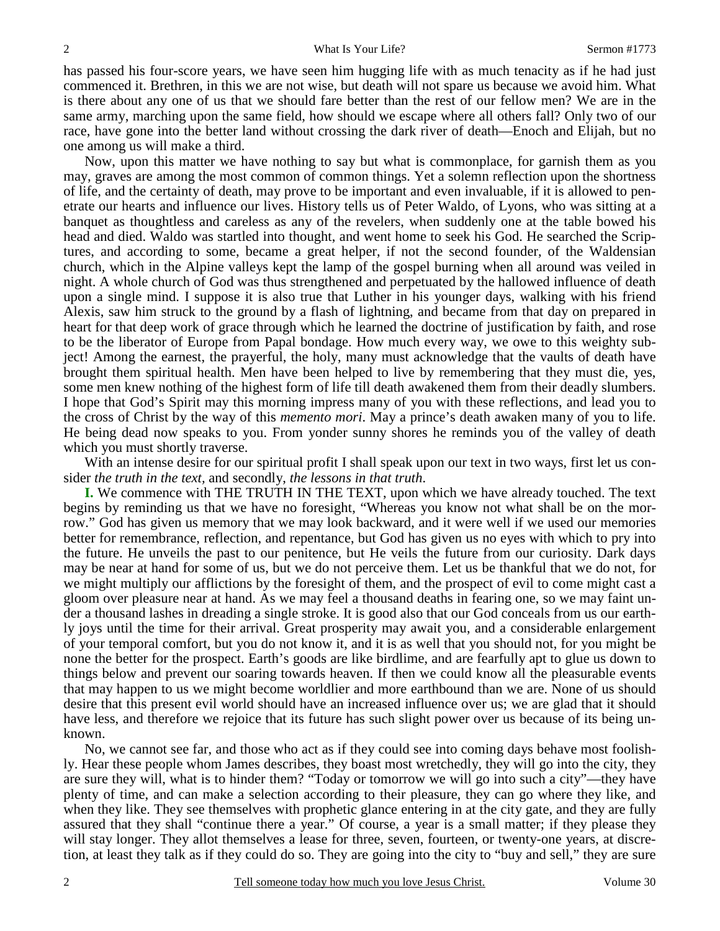has passed his four-score years, we have seen him hugging life with as much tenacity as if he had just commenced it. Brethren, in this we are not wise, but death will not spare us because we avoid him. What is there about any one of us that we should fare better than the rest of our fellow men? We are in the same army, marching upon the same field, how should we escape where all others fall? Only two of our race, have gone into the better land without crossing the dark river of death—Enoch and Elijah, but no one among us will make a third.

 Now, upon this matter we have nothing to say but what is commonplace, for garnish them as you may, graves are among the most common of common things. Yet a solemn reflection upon the shortness of life, and the certainty of death, may prove to be important and even invaluable, if it is allowed to penetrate our hearts and influence our lives. History tells us of Peter Waldo, of Lyons, who was sitting at a banquet as thoughtless and careless as any of the revelers, when suddenly one at the table bowed his head and died. Waldo was startled into thought, and went home to seek his God. He searched the Scriptures, and according to some, became a great helper, if not the second founder, of the Waldensian church, which in the Alpine valleys kept the lamp of the gospel burning when all around was veiled in night. A whole church of God was thus strengthened and perpetuated by the hallowed influence of death upon a single mind. I suppose it is also true that Luther in his younger days, walking with his friend Alexis, saw him struck to the ground by a flash of lightning, and became from that day on prepared in heart for that deep work of grace through which he learned the doctrine of justification by faith, and rose to be the liberator of Europe from Papal bondage. How much every way, we owe to this weighty subject! Among the earnest, the prayerful, the holy, many must acknowledge that the vaults of death have brought them spiritual health. Men have been helped to live by remembering that they must die, yes, some men knew nothing of the highest form of life till death awakened them from their deadly slumbers. I hope that God's Spirit may this morning impress many of you with these reflections, and lead you to the cross of Christ by the way of this *memento mori*. May a prince's death awaken many of you to life. He being dead now speaks to you. From yonder sunny shores he reminds you of the valley of death which you must shortly traverse.

With an intense desire for our spiritual profit I shall speak upon our text in two ways, first let us consider *the truth in the text,* and secondly, *the lessons in that truth*.

**I.** We commence with THE TRUTH IN THE TEXT, upon which we have already touched. The text begins by reminding us that we have no foresight, "Whereas you know not what shall be on the morrow." God has given us memory that we may look backward, and it were well if we used our memories better for remembrance, reflection, and repentance, but God has given us no eyes with which to pry into the future. He unveils the past to our penitence, but He veils the future from our curiosity. Dark days may be near at hand for some of us, but we do not perceive them. Let us be thankful that we do not, for we might multiply our afflictions by the foresight of them, and the prospect of evil to come might cast a gloom over pleasure near at hand. As we may feel a thousand deaths in fearing one, so we may faint under a thousand lashes in dreading a single stroke. It is good also that our God conceals from us our earthly joys until the time for their arrival. Great prosperity may await you, and a considerable enlargement of your temporal comfort, but you do not know it, and it is as well that you should not, for you might be none the better for the prospect. Earth's goods are like birdlime, and are fearfully apt to glue us down to things below and prevent our soaring towards heaven. If then we could know all the pleasurable events that may happen to us we might become worldlier and more earthbound than we are. None of us should desire that this present evil world should have an increased influence over us; we are glad that it should have less, and therefore we rejoice that its future has such slight power over us because of its being unknown.

 No, we cannot see far, and those who act as if they could see into coming days behave most foolishly. Hear these people whom James describes, they boast most wretchedly, they will go into the city, they are sure they will, what is to hinder them? "Today or tomorrow we will go into such a city"—they have plenty of time, and can make a selection according to their pleasure, they can go where they like, and when they like. They see themselves with prophetic glance entering in at the city gate, and they are fully assured that they shall "continue there a year." Of course, a year is a small matter; if they please they will stay longer. They allot themselves a lease for three, seven, fourteen, or twenty-one years, at discretion, at least they talk as if they could do so. They are going into the city to "buy and sell," they are sure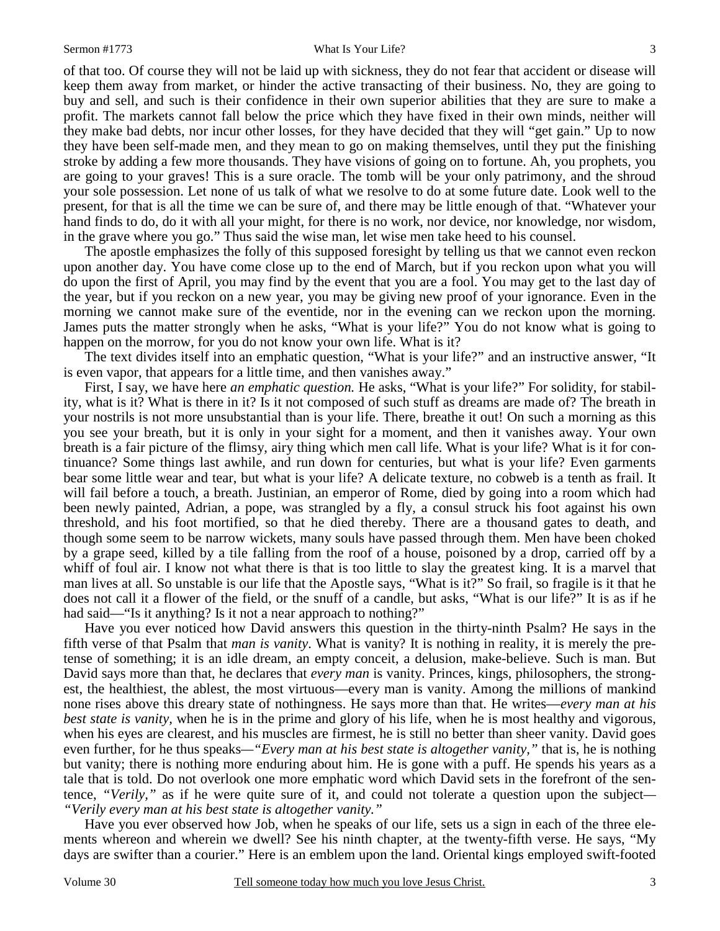of that too. Of course they will not be laid up with sickness, they do not fear that accident or disease will keep them away from market, or hinder the active transacting of their business. No, they are going to buy and sell, and such is their confidence in their own superior abilities that they are sure to make a profit. The markets cannot fall below the price which they have fixed in their own minds, neither will they make bad debts, nor incur other losses, for they have decided that they will "get gain." Up to now they have been self-made men, and they mean to go on making themselves, until they put the finishing stroke by adding a few more thousands. They have visions of going on to fortune. Ah, you prophets, you are going to your graves! This is a sure oracle. The tomb will be your only patrimony, and the shroud your sole possession. Let none of us talk of what we resolve to do at some future date. Look well to the present, for that is all the time we can be sure of, and there may be little enough of that. "Whatever your hand finds to do, do it with all your might, for there is no work, nor device, nor knowledge, nor wisdom, in the grave where you go." Thus said the wise man, let wise men take heed to his counsel.

 The apostle emphasizes the folly of this supposed foresight by telling us that we cannot even reckon upon another day. You have come close up to the end of March, but if you reckon upon what you will do upon the first of April, you may find by the event that you are a fool. You may get to the last day of the year, but if you reckon on a new year, you may be giving new proof of your ignorance. Even in the morning we cannot make sure of the eventide, nor in the evening can we reckon upon the morning. James puts the matter strongly when he asks, "What is your life?" You do not know what is going to happen on the morrow, for you do not know your own life. What is it?

 The text divides itself into an emphatic question, "What is your life?" and an instructive answer, "It is even vapor, that appears for a little time, and then vanishes away."

 First, I say, we have here *an emphatic question.* He asks, "What is your life?" For solidity, for stability, what is it? What is there in it? Is it not composed of such stuff as dreams are made of? The breath in your nostrils is not more unsubstantial than is your life. There, breathe it out! On such a morning as this you see your breath, but it is only in your sight for a moment, and then it vanishes away. Your own breath is a fair picture of the flimsy, airy thing which men call life. What is your life? What is it for continuance? Some things last awhile, and run down for centuries, but what is your life? Even garments bear some little wear and tear, but what is your life? A delicate texture, no cobweb is a tenth as frail. It will fail before a touch, a breath. Justinian, an emperor of Rome, died by going into a room which had been newly painted, Adrian, a pope, was strangled by a fly, a consul struck his foot against his own threshold, and his foot mortified, so that he died thereby. There are a thousand gates to death, and though some seem to be narrow wickets, many souls have passed through them. Men have been choked by a grape seed, killed by a tile falling from the roof of a house, poisoned by a drop, carried off by a whiff of foul air. I know not what there is that is too little to slay the greatest king. It is a marvel that man lives at all. So unstable is our life that the Apostle says, "What is it?" So frail, so fragile is it that he does not call it a flower of the field, or the snuff of a candle, but asks, "What is our life?" It is as if he had said—"Is it anything? Is it not a near approach to nothing?"

 Have you ever noticed how David answers this question in the thirty-ninth Psalm? He says in the fifth verse of that Psalm that *man is vanity*. What is vanity? It is nothing in reality, it is merely the pretense of something; it is an idle dream, an empty conceit, a delusion, make-believe. Such is man. But David says more than that, he declares that *every man* is vanity. Princes, kings, philosophers, the strongest, the healthiest, the ablest, the most virtuous—every man is vanity. Among the millions of mankind none rises above this dreary state of nothingness. He says more than that. He writes—*every man at his best state is vanity,* when he is in the prime and glory of his life, when he is most healthy and vigorous, when his eyes are clearest, and his muscles are firmest, he is still no better than sheer vanity. David goes even further, for he thus speaks*—"Every man at his best state is altogether vanity,"* that is, he is nothing but vanity; there is nothing more enduring about him. He is gone with a puff. He spends his years as a tale that is told. Do not overlook one more emphatic word which David sets in the forefront of the sentence, *"Verily,"* as if he were quite sure of it, and could not tolerate a question upon the subject*— "Verily every man at his best state is altogether vanity."*

 Have you ever observed how Job, when he speaks of our life, sets us a sign in each of the three elements whereon and wherein we dwell? See his ninth chapter, at the twenty-fifth verse. He says, "My days are swifter than a courier." Here is an emblem upon the land. Oriental kings employed swift-footed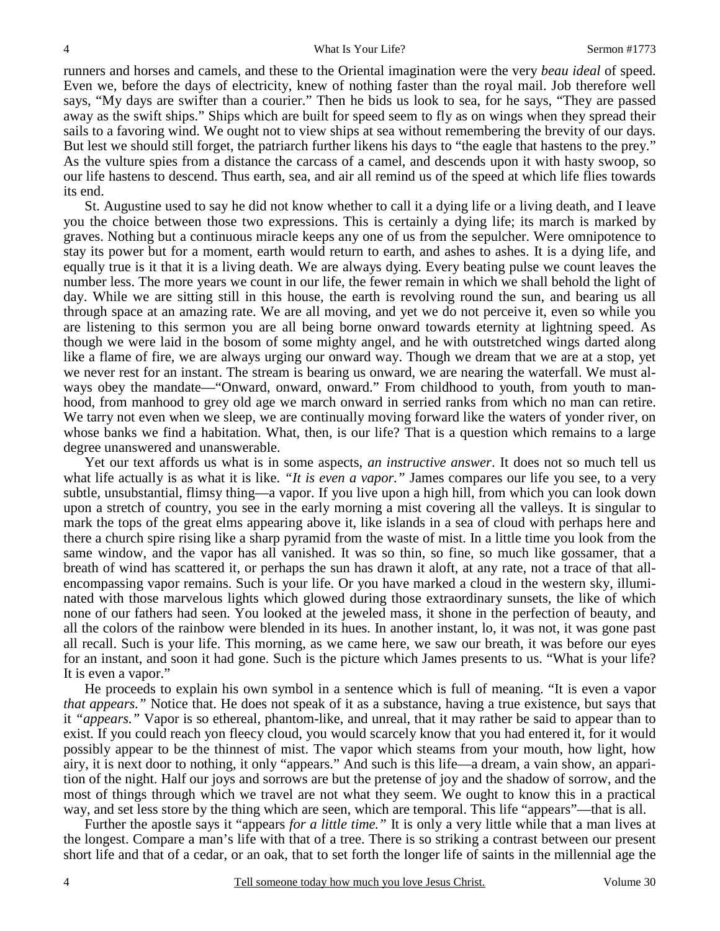runners and horses and camels, and these to the Oriental imagination were the very *beau ideal* of speed. Even we, before the days of electricity, knew of nothing faster than the royal mail. Job therefore well says, "My days are swifter than a courier." Then he bids us look to sea, for he says, "They are passed away as the swift ships." Ships which are built for speed seem to fly as on wings when they spread their sails to a favoring wind. We ought not to view ships at sea without remembering the brevity of our days. But lest we should still forget, the patriarch further likens his days to "the eagle that hastens to the prey." As the vulture spies from a distance the carcass of a camel, and descends upon it with hasty swoop, so our life hastens to descend. Thus earth, sea, and air all remind us of the speed at which life flies towards its end.

 St. Augustine used to say he did not know whether to call it a dying life or a living death, and I leave you the choice between those two expressions. This is certainly a dying life; its march is marked by graves. Nothing but a continuous miracle keeps any one of us from the sepulcher. Were omnipotence to stay its power but for a moment, earth would return to earth, and ashes to ashes. It is a dying life, and equally true is it that it is a living death. We are always dying. Every beating pulse we count leaves the number less. The more years we count in our life, the fewer remain in which we shall behold the light of day. While we are sitting still in this house, the earth is revolving round the sun, and bearing us all through space at an amazing rate. We are all moving, and yet we do not perceive it, even so while you are listening to this sermon you are all being borne onward towards eternity at lightning speed. As though we were laid in the bosom of some mighty angel, and he with outstretched wings darted along like a flame of fire, we are always urging our onward way. Though we dream that we are at a stop, yet we never rest for an instant. The stream is bearing us onward, we are nearing the waterfall. We must always obey the mandate—"Onward, onward, onward." From childhood to youth, from youth to manhood, from manhood to grey old age we march onward in serried ranks from which no man can retire. We tarry not even when we sleep, we are continually moving forward like the waters of yonder river, on whose banks we find a habitation. What, then, is our life? That is a question which remains to a large degree unanswered and unanswerable.

 Yet our text affords us what is in some aspects, *an instructive answer*. It does not so much tell us what life actually is as what it is like. "It is even a vapor." James compares our life you see, to a very subtle, unsubstantial, flimsy thing—a vapor. If you live upon a high hill, from which you can look down upon a stretch of country, you see in the early morning a mist covering all the valleys. It is singular to mark the tops of the great elms appearing above it, like islands in a sea of cloud with perhaps here and there a church spire rising like a sharp pyramid from the waste of mist. In a little time you look from the same window, and the vapor has all vanished. It was so thin, so fine, so much like gossamer, that a breath of wind has scattered it, or perhaps the sun has drawn it aloft, at any rate, not a trace of that allencompassing vapor remains. Such is your life. Or you have marked a cloud in the western sky, illuminated with those marvelous lights which glowed during those extraordinary sunsets, the like of which none of our fathers had seen. You looked at the jeweled mass, it shone in the perfection of beauty, and all the colors of the rainbow were blended in its hues. In another instant, lo, it was not, it was gone past all recall. Such is your life. This morning, as we came here, we saw our breath, it was before our eyes for an instant, and soon it had gone. Such is the picture which James presents to us. "What is your life? It is even a vapor."

 He proceeds to explain his own symbol in a sentence which is full of meaning. "It is even a vapor *that appears.*" Notice that. He does not speak of it as a substance, having a true existence, but says that it *"appears."* Vapor is so ethereal, phantom-like, and unreal, that it may rather be said to appear than to exist. If you could reach yon fleecy cloud, you would scarcely know that you had entered it, for it would possibly appear to be the thinnest of mist. The vapor which steams from your mouth, how light, how airy, it is next door to nothing, it only "appears." And such is this life—a dream, a vain show, an apparition of the night. Half our joys and sorrows are but the pretense of joy and the shadow of sorrow, and the most of things through which we travel are not what they seem. We ought to know this in a practical way, and set less store by the thing which are seen, which are temporal. This life "appears"—that is all.

 Further the apostle says it "appears *for a little time."* It is only a very little while that a man lives at the longest. Compare a man's life with that of a tree. There is so striking a contrast between our present short life and that of a cedar, or an oak, that to set forth the longer life of saints in the millennial age the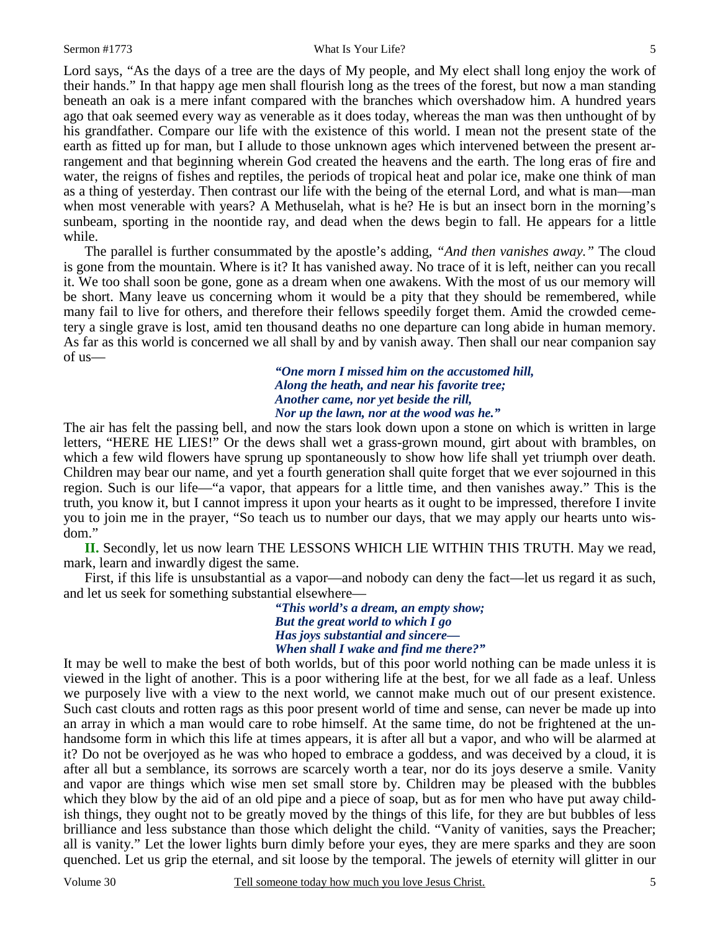Lord says, "As the days of a tree are the days of My people, and My elect shall long enjoy the work of their hands." In that happy age men shall flourish long as the trees of the forest, but now a man standing beneath an oak is a mere infant compared with the branches which overshadow him. A hundred years ago that oak seemed every way as venerable as it does today, whereas the man was then unthought of by his grandfather. Compare our life with the existence of this world. I mean not the present state of the earth as fitted up for man, but I allude to those unknown ages which intervened between the present arrangement and that beginning wherein God created the heavens and the earth. The long eras of fire and water, the reigns of fishes and reptiles, the periods of tropical heat and polar ice, make one think of man as a thing of yesterday. Then contrast our life with the being of the eternal Lord, and what is man—man when most venerable with years? A Methuselah, what is he? He is but an insect born in the morning's sunbeam, sporting in the noontide ray, and dead when the dews begin to fall. He appears for a little while.

 The parallel is further consummated by the apostle's adding, *"And then vanishes away."* The cloud is gone from the mountain. Where is it? It has vanished away. No trace of it is left, neither can you recall it. We too shall soon be gone, gone as a dream when one awakens. With the most of us our memory will be short. Many leave us concerning whom it would be a pity that they should be remembered, while many fail to live for others, and therefore their fellows speedily forget them. Amid the crowded cemetery a single grave is lost, amid ten thousand deaths no one departure can long abide in human memory. As far as this world is concerned we all shall by and by vanish away. Then shall our near companion say of us—

> *"One morn I missed him on the accustomed hill, Along the heath, and near his favorite tree; Another came, nor yet beside the rill, Nor up the lawn, nor at the wood was he."*

The air has felt the passing bell, and now the stars look down upon a stone on which is written in large letters, "HERE HE LIES!" Or the dews shall wet a grass-grown mound, girt about with brambles, on which a few wild flowers have sprung up spontaneously to show how life shall yet triumph over death. Children may bear our name, and yet a fourth generation shall quite forget that we ever sojourned in this region. Such is our life—"a vapor, that appears for a little time, and then vanishes away." This is the truth, you know it, but I cannot impress it upon your hearts as it ought to be impressed, therefore I invite you to join me in the prayer, "So teach us to number our days, that we may apply our hearts unto wisdom."

**II.** Secondly, let us now learn THE LESSONS WHICH LIE WITHIN THIS TRUTH. May we read, mark, learn and inwardly digest the same.

 First, if this life is unsubstantial as a vapor—and nobody can deny the fact—let us regard it as such, and let us seek for something substantial elsewhere—

> *"This world's a dream, an empty show; But the great world to which I go Has joys substantial and sincere— When shall I wake and find me there?"*

It may be well to make the best of both worlds, but of this poor world nothing can be made unless it is viewed in the light of another. This is a poor withering life at the best, for we all fade as a leaf. Unless we purposely live with a view to the next world, we cannot make much out of our present existence. Such cast clouts and rotten rags as this poor present world of time and sense, can never be made up into an array in which a man would care to robe himself. At the same time, do not be frightened at the unhandsome form in which this life at times appears, it is after all but a vapor, and who will be alarmed at it? Do not be overjoyed as he was who hoped to embrace a goddess, and was deceived by a cloud, it is after all but a semblance, its sorrows are scarcely worth a tear, nor do its joys deserve a smile. Vanity and vapor are things which wise men set small store by. Children may be pleased with the bubbles which they blow by the aid of an old pipe and a piece of soap, but as for men who have put away childish things, they ought not to be greatly moved by the things of this life, for they are but bubbles of less brilliance and less substance than those which delight the child. "Vanity of vanities, says the Preacher; all is vanity." Let the lower lights burn dimly before your eyes, they are mere sparks and they are soon quenched. Let us grip the eternal, and sit loose by the temporal. The jewels of eternity will glitter in our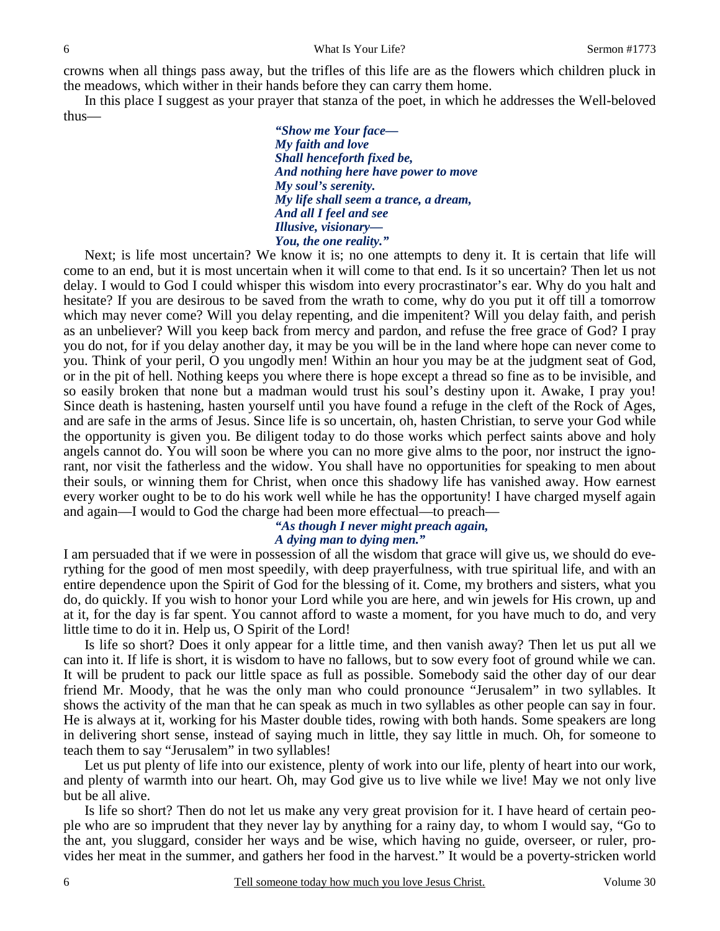crowns when all things pass away, but the trifles of this life are as the flowers which children pluck in the meadows, which wither in their hands before they can carry them home.

 In this place I suggest as your prayer that stanza of the poet, in which he addresses the Well-beloved thus—

> *"Show me Your face— My faith and love Shall henceforth fixed be, And nothing here have power to move My soul's serenity. My life shall seem a trance, a dream, And all I feel and see Illusive, visionary— You, the one reality."*

Next; is life most uncertain? We know it is; no one attempts to deny it. It is certain that life will come to an end, but it is most uncertain when it will come to that end. Is it so uncertain? Then let us not delay. I would to God I could whisper this wisdom into every procrastinator's ear. Why do you halt and hesitate? If you are desirous to be saved from the wrath to come, why do you put it off till a tomorrow which may never come? Will you delay repenting, and die impenitent? Will you delay faith, and perish as an unbeliever? Will you keep back from mercy and pardon, and refuse the free grace of God? I pray you do not, for if you delay another day, it may be you will be in the land where hope can never come to you. Think of your peril, O you ungodly men! Within an hour you may be at the judgment seat of God, or in the pit of hell. Nothing keeps you where there is hope except a thread so fine as to be invisible, and so easily broken that none but a madman would trust his soul's destiny upon it. Awake, I pray you! Since death is hastening, hasten yourself until you have found a refuge in the cleft of the Rock of Ages, and are safe in the arms of Jesus. Since life is so uncertain, oh, hasten Christian, to serve your God while the opportunity is given you. Be diligent today to do those works which perfect saints above and holy angels cannot do. You will soon be where you can no more give alms to the poor, nor instruct the ignorant, nor visit the fatherless and the widow. You shall have no opportunities for speaking to men about their souls, or winning them for Christ, when once this shadowy life has vanished away. How earnest every worker ought to be to do his work well while he has the opportunity! I have charged myself again and again—I would to God the charge had been more effectual—to preach—

### *"As though I never might preach again, A dying man to dying men."*

I am persuaded that if we were in possession of all the wisdom that grace will give us, we should do everything for the good of men most speedily, with deep prayerfulness, with true spiritual life, and with an entire dependence upon the Spirit of God for the blessing of it. Come, my brothers and sisters, what you do, do quickly. If you wish to honor your Lord while you are here, and win jewels for His crown, up and at it, for the day is far spent. You cannot afford to waste a moment, for you have much to do, and very little time to do it in. Help us, O Spirit of the Lord!

 Is life so short? Does it only appear for a little time, and then vanish away? Then let us put all we can into it. If life is short, it is wisdom to have no fallows, but to sow every foot of ground while we can. It will be prudent to pack our little space as full as possible. Somebody said the other day of our dear friend Mr. Moody, that he was the only man who could pronounce "Jerusalem" in two syllables. It shows the activity of the man that he can speak as much in two syllables as other people can say in four. He is always at it, working for his Master double tides, rowing with both hands. Some speakers are long in delivering short sense, instead of saying much in little, they say little in much. Oh, for someone to teach them to say "Jerusalem" in two syllables!

Let us put plenty of life into our existence, plenty of work into our life, plenty of heart into our work, and plenty of warmth into our heart. Oh, may God give us to live while we live! May we not only live but be all alive.

 Is life so short? Then do not let us make any very great provision for it. I have heard of certain people who are so imprudent that they never lay by anything for a rainy day, to whom I would say, "Go to the ant, you sluggard, consider her ways and be wise, which having no guide, overseer, or ruler, provides her meat in the summer, and gathers her food in the harvest." It would be a poverty-stricken world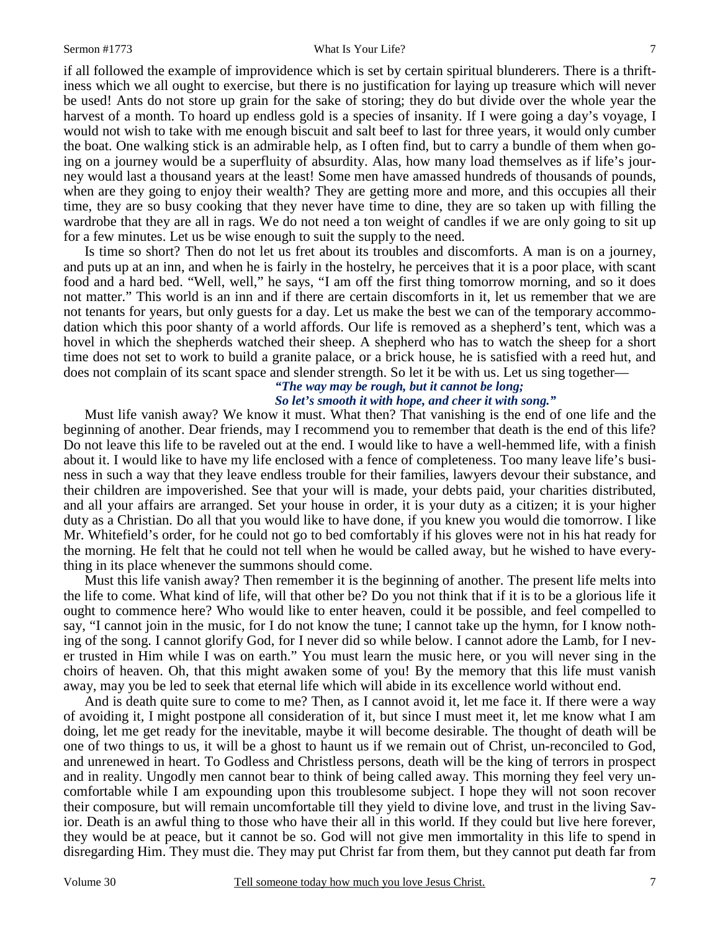#### Sermon #1773 What Is Your Life? 7

if all followed the example of improvidence which is set by certain spiritual blunderers. There is a thriftiness which we all ought to exercise, but there is no justification for laying up treasure which will never be used! Ants do not store up grain for the sake of storing; they do but divide over the whole year the harvest of a month. To hoard up endless gold is a species of insanity. If I were going a day's voyage, I would not wish to take with me enough biscuit and salt beef to last for three years, it would only cumber the boat. One walking stick is an admirable help, as I often find, but to carry a bundle of them when going on a journey would be a superfluity of absurdity. Alas, how many load themselves as if life's journey would last a thousand years at the least! Some men have amassed hundreds of thousands of pounds, when are they going to enjoy their wealth? They are getting more and more, and this occupies all their time, they are so busy cooking that they never have time to dine, they are so taken up with filling the wardrobe that they are all in rags. We do not need a ton weight of candles if we are only going to sit up for a few minutes. Let us be wise enough to suit the supply to the need.

 Is time so short? Then do not let us fret about its troubles and discomforts. A man is on a journey, and puts up at an inn, and when he is fairly in the hostelry, he perceives that it is a poor place, with scant food and a hard bed. "Well, well," he says, "I am off the first thing tomorrow morning, and so it does not matter." This world is an inn and if there are certain discomforts in it, let us remember that we are not tenants for years, but only guests for a day. Let us make the best we can of the temporary accommodation which this poor shanty of a world affords. Our life is removed as a shepherd's tent, which was a hovel in which the shepherds watched their sheep. A shepherd who has to watch the sheep for a short time does not set to work to build a granite palace, or a brick house, he is satisfied with a reed hut, and does not complain of its scant space and slender strength. So let it be with us. Let us sing together—

### *"The way may be rough, but it cannot be long; So let's smooth it with hope, and cheer it with song."*

 Must life vanish away? We know it must. What then? That vanishing is the end of one life and the beginning of another. Dear friends, may I recommend you to remember that death is the end of this life? Do not leave this life to be raveled out at the end. I would like to have a well-hemmed life, with a finish about it. I would like to have my life enclosed with a fence of completeness. Too many leave life's business in such a way that they leave endless trouble for their families, lawyers devour their substance, and their children are impoverished. See that your will is made, your debts paid, your charities distributed, and all your affairs are arranged. Set your house in order, it is your duty as a citizen; it is your higher duty as a Christian. Do all that you would like to have done, if you knew you would die tomorrow. I like Mr. Whitefield's order, for he could not go to bed comfortably if his gloves were not in his hat ready for the morning. He felt that he could not tell when he would be called away, but he wished to have everything in its place whenever the summons should come.

 Must this life vanish away? Then remember it is the beginning of another. The present life melts into the life to come. What kind of life, will that other be? Do you not think that if it is to be a glorious life it ought to commence here? Who would like to enter heaven, could it be possible, and feel compelled to say, "I cannot join in the music, for I do not know the tune; I cannot take up the hymn, for I know nothing of the song. I cannot glorify God, for I never did so while below. I cannot adore the Lamb, for I never trusted in Him while I was on earth." You must learn the music here, or you will never sing in the choirs of heaven. Oh, that this might awaken some of you! By the memory that this life must vanish away, may you be led to seek that eternal life which will abide in its excellence world without end.

 And is death quite sure to come to me? Then, as I cannot avoid it, let me face it. If there were a way of avoiding it, I might postpone all consideration of it, but since I must meet it, let me know what I am doing, let me get ready for the inevitable, maybe it will become desirable. The thought of death will be one of two things to us, it will be a ghost to haunt us if we remain out of Christ, un-reconciled to God, and unrenewed in heart. To Godless and Christless persons, death will be the king of terrors in prospect and in reality. Ungodly men cannot bear to think of being called away. This morning they feel very uncomfortable while I am expounding upon this troublesome subject. I hope they will not soon recover their composure, but will remain uncomfortable till they yield to divine love, and trust in the living Savior. Death is an awful thing to those who have their all in this world. If they could but live here forever, they would be at peace, but it cannot be so. God will not give men immortality in this life to spend in disregarding Him. They must die. They may put Christ far from them, but they cannot put death far from